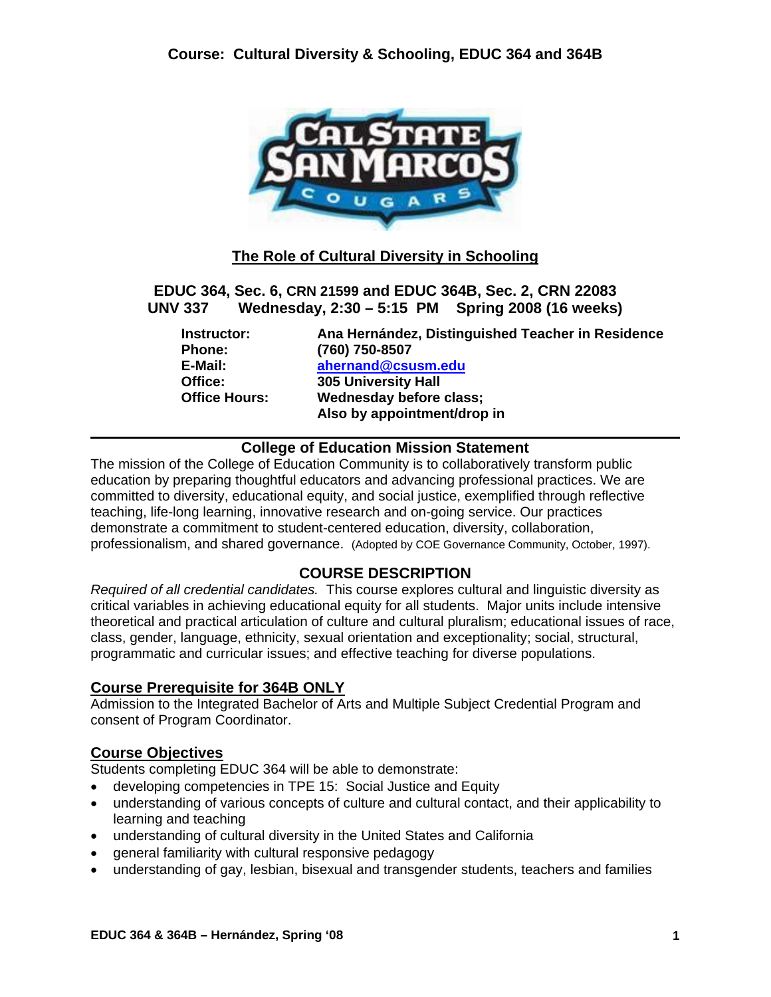

# **The Role of Cultural Diversity in Schooling**

**EDUC 364, Sec. 6, CRN 21599 and EDUC 364B, Sec. 2, CRN 22083 UNV 337 Wednesday, 2:30 – 5:15 PM Spring 2008 (16 weeks)**

**Instructor: Ana Hernández, Distinguished Teacher in Residence Phone: (760) 750-8507 E-Mail: ahernand@csusm.edu 305 University Hall Office Hours: Wednesday before class; Also by appointment/drop in** 

## **College of Education Mission Statement**

The mission of the College of Education Community is to collaboratively transform public education by preparing thoughtful educators and advancing professional practices. We are committed to diversity, educational equity, and social justice, exemplified through reflective teaching, life-long learning, innovative research and on-going service. Our practices demonstrate a commitment to student-centered education, diversity, collaboration, professionalism, and shared governance. (Adopted by COE Governance Community, October, 1997).

## **COURSE DESCRIPTION**

*Required of all credential candidates.* This course explores cultural and linguistic diversity as critical variables in achieving educational equity for all students. Major units include intensive theoretical and practical articulation of culture and cultural pluralism; educational issues of race, class, gender, language, ethnicity, sexual orientation and exceptionality; social, structural, programmatic and curricular issues; and effective teaching for diverse populations.

## **Course Prerequisite for 364B ONLY**

Admission to the Integrated Bachelor of Arts and Multiple Subject Credential Program and consent of Program Coordinator.

## **Course Objectives**

Students completing EDUC 364 will be able to demonstrate:

- developing competencies in TPE 15: Social Justice and Equity
- understanding of various concepts of culture and cultural contact, and their applicability to learning and teaching
- understanding of cultural diversity in the United States and California
- general familiarity with cultural responsive pedagogy
- understanding of gay, lesbian, bisexual and transgender students, teachers and families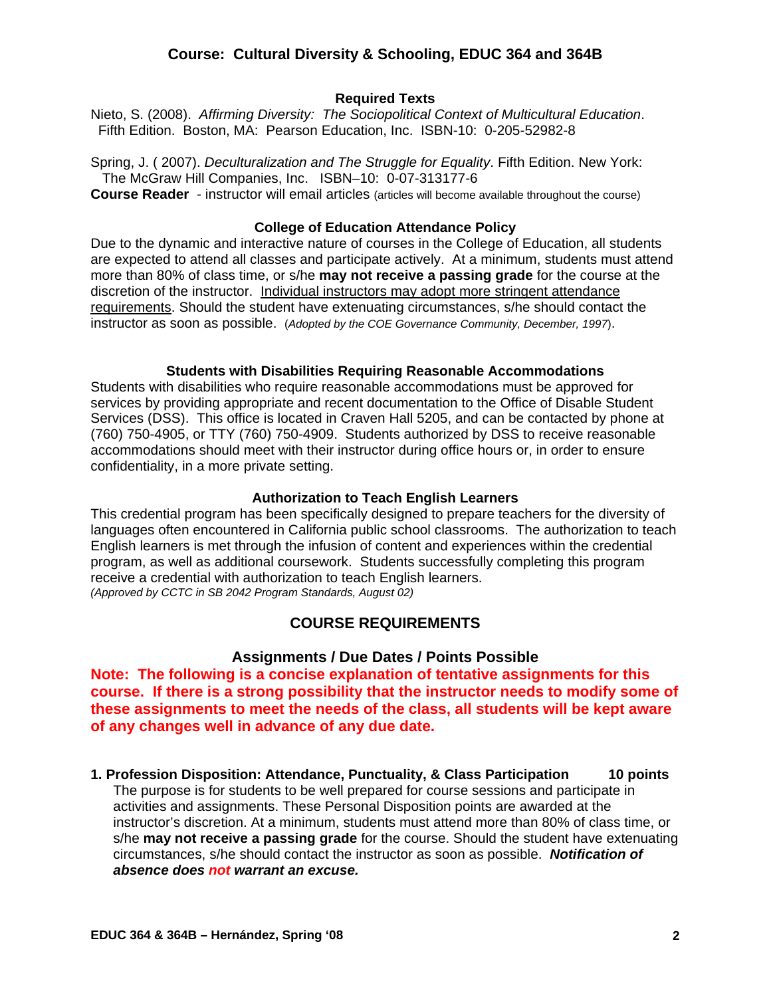### **Required Texts**

Nieto, S. (2008). *Affirming Diversity: The Sociopolitical Context of Multicultural Education*. Fifth Edition. Boston, MA: Pearson Education, Inc. ISBN-10: 0-205-52982-8

Spring, J. ( 2007). *Deculturalization and The Struggle for Equality*. Fifth Edition. New York: The McGraw Hill Companies, Inc. ISBN–10: 0-07-313177-6 **Course Reader** - instructor will email articles (articles will become available throughout the course)

#### **College of Education Attendance Policy**

Due to the dynamic and interactive nature of courses in the College of Education, all students are expected to attend all classes and participate actively. At a minimum, students must attend more than 80% of class time, or s/he **may not receive a passing grade** for the course at the discretion of the instructor. Individual instructors may adopt more stringent attendance requirements. Should the student have extenuating circumstances, s/he should contact the instructor as soon as possible. (*Adopted by the COE Governance Community, December, 1997*).

#### **Students with Disabilities Requiring Reasonable Accommodations**

Students with disabilities who require reasonable accommodations must be approved for services by providing appropriate and recent documentation to the Office of Disable Student Services (DSS). This office is located in Craven Hall 5205, and can be contacted by phone at (760) 750-4905, or TTY (760) 750-4909. Students authorized by DSS to receive reasonable accommodations should meet with their instructor during office hours or, in order to ensure confidentiality, in a more private setting.

#### **Authorization to Teach English Learners**

This credential program has been specifically designed to prepare teachers for the diversity of languages often encountered in California public school classrooms. The authorization to teach English learners is met through the infusion of content and experiences within the credential program, as well as additional coursework. Students successfully completing this program receive a credential with authorization to teach English learners. *(Approved by CCTC in SB 2042 Program Standards, August 02)*

### **COURSE REQUIREMENTS**

### **Assignments / Due Dates / Points Possible**

**Note: The following is a concise explanation of tentative assignments for this course. If there is a strong possibility that the instructor needs to modify some of these assignments to meet the needs of the class, all students will be kept aware of any changes well in advance of any due date.** 

**1. Profession Disposition: Attendance, Punctuality, & Class Participation 10 points** The purpose is for students to be well prepared for course sessions and participate in activities and assignments. These Personal Disposition points are awarded at the instructor's discretion. At a minimum, students must attend more than 80% of class time, or s/he **may not receive a passing grade** for the course. Should the student have extenuating circumstances, s/he should contact the instructor as soon as possible. *Notification of absence does not warrant an excuse.*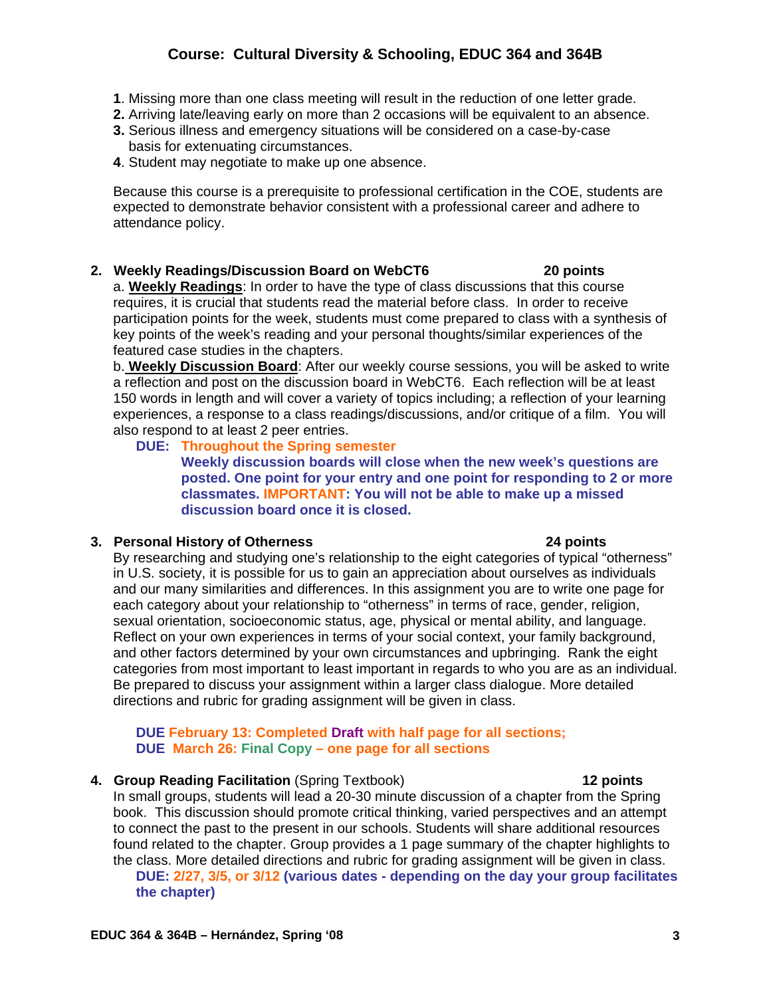## **Course: Cultural Diversity & Schooling, EDUC 364 and 364B**

- **1**. Missing more than one class meeting will result in the reduction of one letter grade.
- **2.** Arriving late/leaving early on more than 2 occasions will be equivalent to an absence.
- **3.** Serious illness and emergency situations will be considered on a case-by-case basis for extenuating circumstances.
- **4**. Student may negotiate to make up one absence.

Because this course is a prerequisite to professional certification in the COE, students are expected to demonstrate behavior consistent with a professional career and adhere to attendance policy.

#### **2. Weekly Readings/Discussion Board on WebCT6 20 points**

a. **Weekly Readings**: In order to have the type of class discussions that this course requires, it is crucial that students read the material before class. In order to receive participation points for the week, students must come prepared to class with a synthesis of key points of the week's reading and your personal thoughts/similar experiences of the featured case studies in the chapters.

b. **Weekly Discussion Board**: After our weekly course sessions, you will be asked to write a reflection and post on the discussion board in WebCT6. Each reflection will be at least 150 words in length and will cover a variety of topics including; a reflection of your learning experiences, a response to a class readings/discussions, and/or critique of a film. You will also respond to at least 2 peer entries.

#### **DUE: Throughout the Spring semester**

 **Weekly discussion boards will close when the new week's questions are posted. One point for your entry and one point for responding to 2 or more classmates. IMPORTANT: You will not be able to make up a missed discussion board once it is closed.** 

#### **3. Personal History of Otherness 24 points**

#### By researching and studying one's relationship to the eight categories of typical "otherness" in U.S. society, it is possible for us to gain an appreciation about ourselves as individuals and our many similarities and differences. In this assignment you are to write one page for each category about your relationship to "otherness" in terms of race, gender, religion, sexual orientation, socioeconomic status, age, physical or mental ability, and language. Reflect on your own experiences in terms of your social context, your family background, and other factors determined by your own circumstances and upbringing. Rank the eight categories from most important to least important in regards to who you are as an individual. Be prepared to discuss your assignment within a larger class dialogue. More detailed directions and rubric for grading assignment will be given in class.

#### **DUE February 13: Completed Draft with half page for all sections; DUE March 26: Final Copy – one page for all sections**

#### **4. Group Reading Facilitation** (Spring Textbook) **12 points**

In small groups, students will lead a 20-30 minute discussion of a chapter from the Spring book. This discussion should promote critical thinking, varied perspectives and an attempt to connect the past to the present in our schools. Students will share additional resources found related to the chapter. Group provides a 1 page summary of the chapter highlights to the class. More detailed directions and rubric for grading assignment will be given in class. **DUE: 2/27, 3/5, or 3/12 (various dates - depending on the day your group facilitates the chapter)**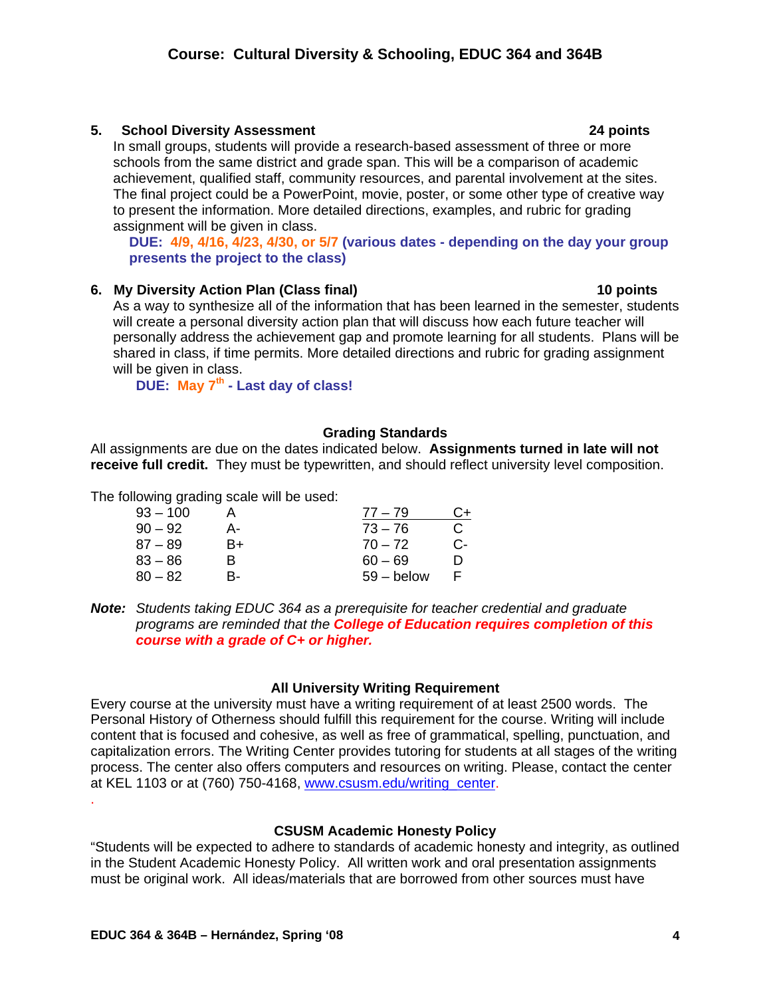.

## **Course: Cultural Diversity & Schooling, EDUC 364 and 364B**

## **5. School Diversity Assessment 24 points**

In small groups, students will provide a research-based assessment of three or more schools from the same district and grade span. This will be a comparison of academic achievement, qualified staff, community resources, and parental involvement at the sites. The final project could be a PowerPoint, movie, poster, or some other type of creative way to present the information. More detailed directions, examples, and rubric for grading assignment will be given in class.

 **DUE: 4/9, 4/16, 4/23, 4/30, or 5/7 (various dates - depending on the day your group presents the project to the class)** 

## **6. My Diversity Action Plan (Class final) 10 points**

As a way to synthesize all of the information that has been learned in the semester, students will create a personal diversity action plan that will discuss how each future teacher will personally address the achievement gap and promote learning for all students. Plans will be shared in class, if time permits. More detailed directions and rubric for grading assignment will be given in class.

 **DUE: May 7th - Last day of class!**

### **Grading Standards**

All assignments are due on the dates indicated below. **Assignments turned in late will not receive full credit.** They must be typewritten, and should reflect university level composition.

The following grading scale will be used:

| $93 - 100$ |    | $77 - 79$    | C+ |
|------------|----|--------------|----|
| $90 - 92$  | А- | $73 - 76$    | C. |
| $87 - 89$  | B+ | $70 - 72$    | С- |
| $83 - 86$  | R  | $60 - 69$    | m  |
| $80 - 82$  | R- | $59 -$ below |    |

*Note: Students taking EDUC 364 as a prerequisite for teacher credential and graduate programs are reminded that the College of Education requires completion of this course with a grade of C+ or higher.* 

### **All University Writing Requirement**

Every course at the university must have a writing requirement of at least 2500 words. The Personal History of Otherness should fulfill this requirement for the course. Writing will include content that is focused and cohesive, as well as free of grammatical, spelling, punctuation, and capitalization errors. The Writing Center provides tutoring for students at all stages of the writing process. The center also offers computers and resources on writing. Please, contact the center at KEL 1103 or at (760) 750-4168, www.csusm.edu/writing\_center.

## **CSUSM Academic Honesty Policy**

"Students will be expected to adhere to standards of academic honesty and integrity, as outlined in the Student Academic Honesty Policy. All written work and oral presentation assignments must be original work. All ideas/materials that are borrowed from other sources must have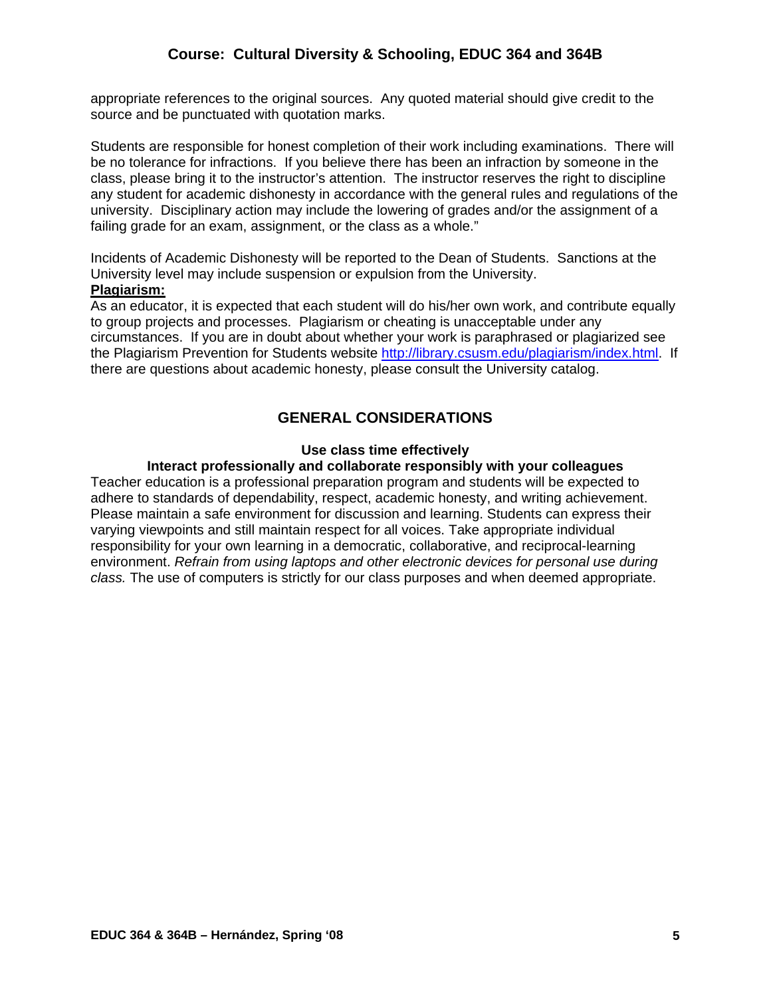appropriate references to the original sources. Any quoted material should give credit to the source and be punctuated with quotation marks.

Students are responsible for honest completion of their work including examinations. There will be no tolerance for infractions. If you believe there has been an infraction by someone in the class, please bring it to the instructor's attention. The instructor reserves the right to discipline any student for academic dishonesty in accordance with the general rules and regulations of the university. Disciplinary action may include the lowering of grades and/or the assignment of a failing grade for an exam, assignment, or the class as a whole."

Incidents of Academic Dishonesty will be reported to the Dean of Students. Sanctions at the University level may include suspension or expulsion from the University.

## **Plagiarism:**

As an educator, it is expected that each student will do his/her own work, and contribute equally to group projects and processes. Plagiarism or cheating is unacceptable under any circumstances. If you are in doubt about whether your work is paraphrased or plagiarized see the Plagiarism Prevention for Students website http://library.csusm.edu/plagiarism/index.html. If there are questions about academic honesty, please consult the University catalog.

## **GENERAL CONSIDERATIONS**

#### **Use class time effectively**

### **Interact professionally and collaborate responsibly with your colleagues**

Teacher education is a professional preparation program and students will be expected to adhere to standards of dependability, respect, academic honesty, and writing achievement. Please maintain a safe environment for discussion and learning. Students can express their varying viewpoints and still maintain respect for all voices. Take appropriate individual responsibility for your own learning in a democratic, collaborative, and reciprocal-learning environment. *Refrain from using laptops and other electronic devices for personal use during class.* The use of computers is strictly for our class purposes and when deemed appropriate.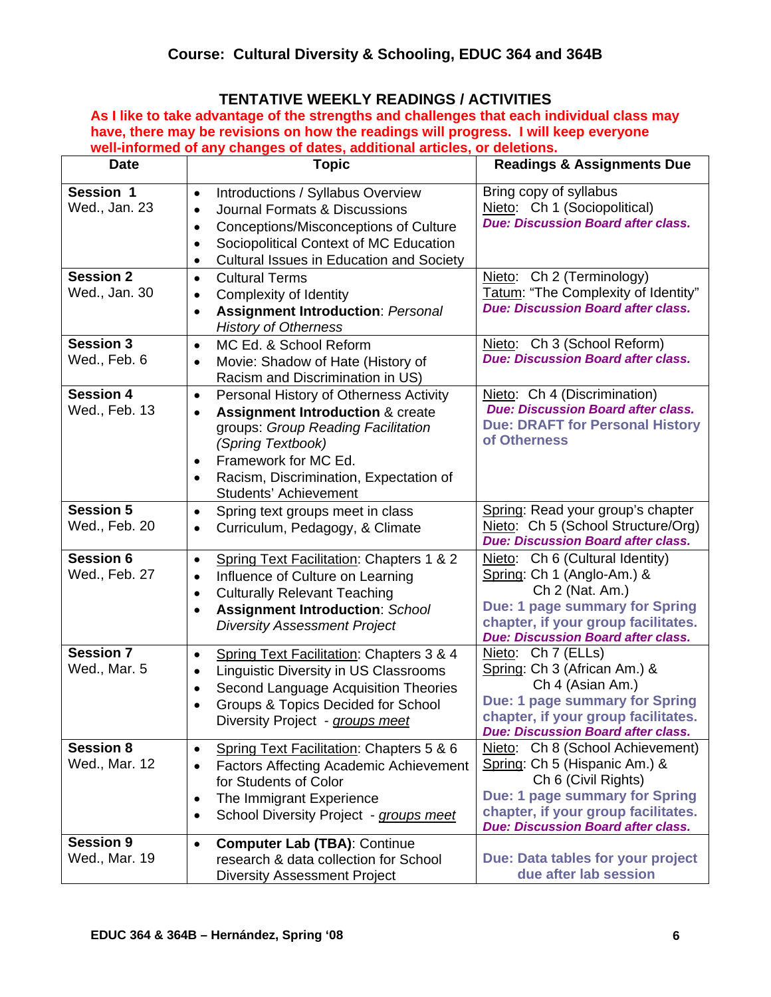# **TENTATIVE WEEKLY READINGS / ACTIVITIES**

**As I like to take advantage of the strengths and challenges that each individual class may have, there may be revisions on how the readings will progress. I will keep everyone well-informed of any changes of dates, additional articles, or deletions.** 

| <b>Date</b>                       | <b>Topic</b>                                                                                                                                                                                                                                                                                           | <b>Readings &amp; Assignments Due</b>                                                                                                                                                                                 |
|-----------------------------------|--------------------------------------------------------------------------------------------------------------------------------------------------------------------------------------------------------------------------------------------------------------------------------------------------------|-----------------------------------------------------------------------------------------------------------------------------------------------------------------------------------------------------------------------|
| Session 1<br>Wed., Jan. 23        | Introductions / Syllabus Overview<br>$\bullet$<br>Journal Formats & Discussions<br>$\bullet$<br>Conceptions/Misconceptions of Culture<br>$\bullet$<br>Sociopolitical Context of MC Education<br>$\bullet$<br><b>Cultural Issues in Education and Society</b><br>$\bullet$                              | Bring copy of syllabus<br>Nieto: Ch 1 (Sociopolitical)<br><b>Due: Discussion Board after class.</b>                                                                                                                   |
| <b>Session 2</b><br>Wed., Jan. 30 | <b>Cultural Terms</b><br>$\bullet$<br>Complexity of Identity<br>$\bullet$<br><b>Assignment Introduction: Personal</b><br>$\bullet$<br><b>History of Otherness</b>                                                                                                                                      | Nieto: Ch 2 (Terminology)<br>Tatum: "The Complexity of Identity"<br><b>Due: Discussion Board after class.</b>                                                                                                         |
| <b>Session 3</b><br>Wed., Feb. 6  | MC Ed. & School Reform<br>$\bullet$<br>Movie: Shadow of Hate (History of<br>$\bullet$<br>Racism and Discrimination in US)                                                                                                                                                                              | Nieto: Ch 3 (School Reform)<br><b>Due: Discussion Board after class.</b>                                                                                                                                              |
| <b>Session 4</b><br>Wed., Feb. 13 | Personal History of Otherness Activity<br>$\bullet$<br><b>Assignment Introduction &amp; create</b><br>$\bullet$<br>groups: Group Reading Facilitation<br>(Spring Textbook)<br>Framework for MC Ed.<br>$\bullet$<br>Racism, Discrimination, Expectation of<br>$\bullet$<br><b>Students' Achievement</b> | Nieto: Ch 4 (Discrimination)<br><b>Due: Discussion Board after class.</b><br><b>Due: DRAFT for Personal History</b><br>of Otherness                                                                                   |
| <b>Session 5</b><br>Wed., Feb. 20 | Spring text groups meet in class<br>$\bullet$<br>Curriculum, Pedagogy, & Climate<br>$\bullet$                                                                                                                                                                                                          | Spring: Read your group's chapter<br>Nieto: Ch 5 (School Structure/Org)<br><b>Due: Discussion Board after class.</b>                                                                                                  |
| <b>Session 6</b><br>Wed., Feb. 27 | Spring Text Facilitation: Chapters 1 & 2<br>$\bullet$<br>Influence of Culture on Learning<br>$\bullet$<br><b>Culturally Relevant Teaching</b><br>$\bullet$<br><b>Assignment Introduction: School</b><br>$\bullet$<br><b>Diversity Assessment Project</b>                                               | Nieto: Ch 6 (Cultural Identity)<br>Spring: Ch 1 (Anglo-Am.) &<br>Ch 2 (Nat. Am.)<br>Due: 1 page summary for Spring<br>chapter, if your group facilitates.<br><b>Due: Discussion Board after class.</b>                |
| <b>Session 7</b><br>Wed., Mar. 5  | Spring Text Facilitation: Chapters 3 & 4<br>$\bullet$<br>Linguistic Diversity in US Classrooms<br>$\bullet$<br>Second Language Acquisition Theories<br>$\bullet$<br>Groups & Topics Decided for School<br>$\bullet$<br>Diversity Project - groups meet                                                 | Nieto: Ch 7 (ELLs)<br>Spring: Ch 3 (African Am.) &<br>Ch 4 (Asian Am.)<br>Due: 1 page summary for Spring<br>chapter, if your group facilitates<br><b>Due: Discussion Board after class.</b>                           |
| <b>Session 8</b><br>Wed., Mar. 12 | Spring Text Facilitation: Chapters 5 & 6<br>$\bullet$<br><b>Factors Affecting Academic Achievement</b><br>$\bullet$<br>for Students of Color<br>The Immigrant Experience<br>$\bullet$<br>School Diversity Project - groups meet<br>$\bullet$                                                           | Nieto: Ch 8 (School Achievement)<br>Spring: Ch 5 (Hispanic Am.) &<br>Ch 6 (Civil Rights)<br><b>Due: 1 page summary for Spring</b><br>chapter, if your group facilitates.<br><b>Due: Discussion Board after class.</b> |
| <b>Session 9</b><br>Wed., Mar. 19 | <b>Computer Lab (TBA): Continue</b><br>$\bullet$<br>research & data collection for School<br><b>Diversity Assessment Project</b>                                                                                                                                                                       | Due: Data tables for your project<br>due after lab session                                                                                                                                                            |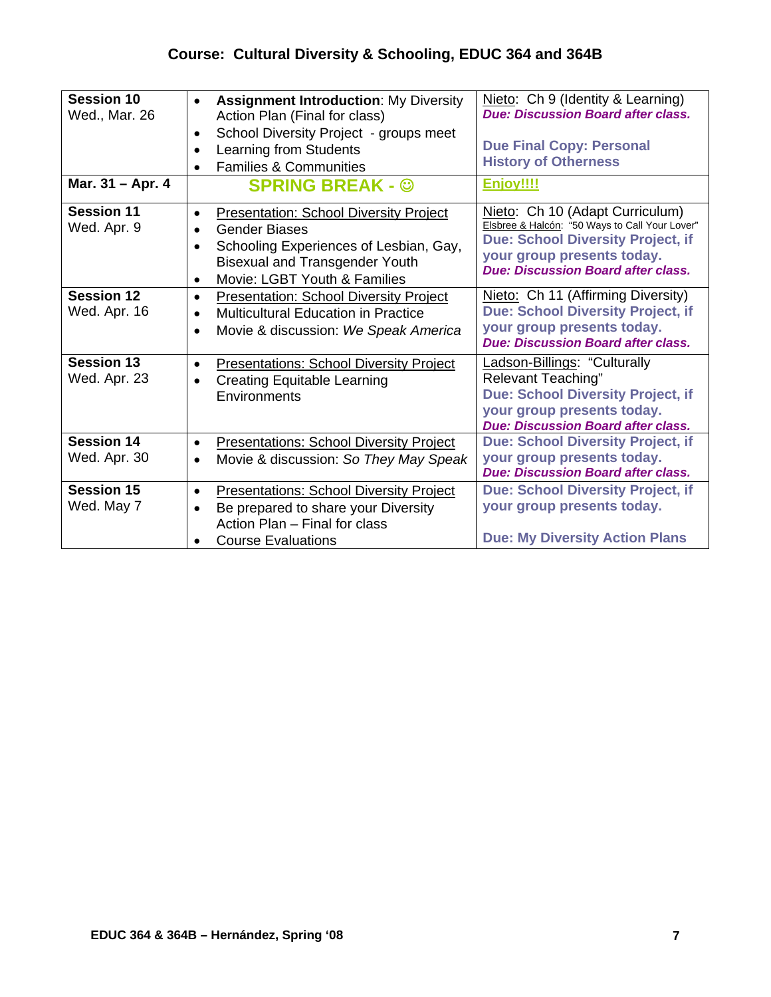# **Course: Cultural Diversity & Schooling, EDUC 364 and 364B**

| <b>Session 10</b><br>Wed., Mar. 26 | <b>Assignment Introduction: My Diversity</b><br>$\bullet$<br>Action Plan (Final for class)<br>School Diversity Project - groups meet<br>$\bullet$<br>Learning from Students<br><b>Families &amp; Communities</b>   | Nieto: Ch 9 (Identity & Learning)<br><b>Due: Discussion Board after class.</b><br><b>Due Final Copy: Personal</b><br><b>History of Otherness</b>                                                         |
|------------------------------------|--------------------------------------------------------------------------------------------------------------------------------------------------------------------------------------------------------------------|----------------------------------------------------------------------------------------------------------------------------------------------------------------------------------------------------------|
| Mar. 31 - Apr. 4                   | <b>SPRING BREAK - @</b>                                                                                                                                                                                            | <b>Enjoy!!!!</b>                                                                                                                                                                                         |
| <b>Session 11</b><br>Wed. Apr. 9   | <b>Presentation: School Diversity Project</b><br>$\bullet$<br><b>Gender Biases</b><br>Schooling Experiences of Lesbian, Gay,<br>$\bullet$<br><b>Bisexual and Transgender Youth</b><br>Movie: LGBT Youth & Families | Nieto: Ch 10 (Adapt Curriculum)<br>Elsbree & Halcón: "50 Ways to Call Your Lover"<br><b>Due: School Diversity Project, if</b><br>your group presents today.<br><b>Due: Discussion Board after class.</b> |
| <b>Session 12</b><br>Wed. Apr. 16  | <b>Presentation: School Diversity Project</b><br>$\bullet$<br><b>Multicultural Education in Practice</b><br>$\bullet$<br>Movie & discussion: We Speak America<br>$\bullet$                                         | Nieto: Ch 11 (Affirming Diversity)<br><b>Due: School Diversity Project, if</b><br>your group presents today.<br><b>Due: Discussion Board after class.</b>                                                |
| <b>Session 13</b><br>Wed. Apr. 23  | <b>Presentations: School Diversity Project</b><br>$\bullet$<br><b>Creating Equitable Learning</b><br>$\bullet$<br>Environments                                                                                     | <b>Ladson-Billings: "Culturally</b><br><b>Relevant Teaching"</b><br><b>Due: School Diversity Project, if</b><br>your group presents today.<br><b>Due: Discussion Board after class.</b>                  |
| <b>Session 14</b><br>Wed. Apr. 30  | <b>Presentations: School Diversity Project</b><br>$\bullet$<br>Movie & discussion: So They May Speak<br>$\bullet$                                                                                                  | <b>Due: School Diversity Project, if</b><br>your group presents today.<br><b>Due: Discussion Board after class.</b>                                                                                      |
| <b>Session 15</b><br>Wed. May 7    | <b>Presentations: School Diversity Project</b><br>$\bullet$<br>Be prepared to share your Diversity<br>Action Plan - Final for class<br><b>Course Evaluations</b>                                                   | Due: School Diversity Project, if<br>your group presents today.<br><b>Due: My Diversity Action Plans</b>                                                                                                 |